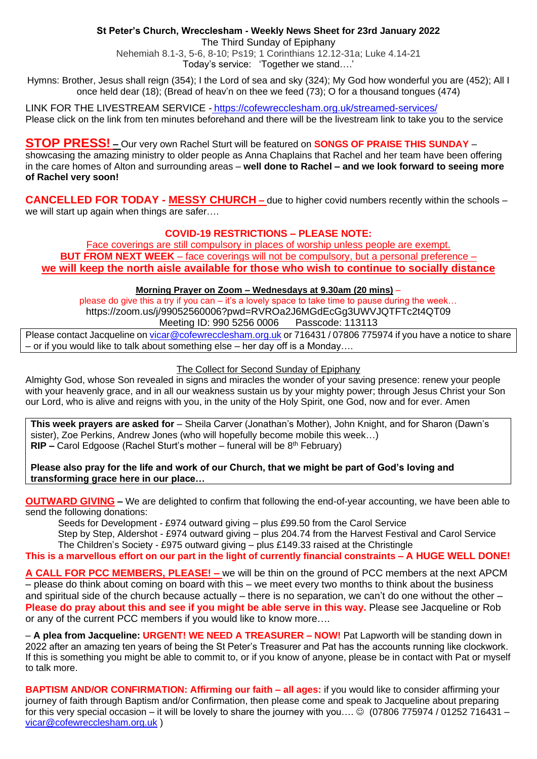## **St Peter's Church, Wrecclesham - Weekly News Sheet for 23rd January 2022**

The Third Sunday of Epiphany

Nehemiah 8.1-3, 5-6, 8-10; Ps19; 1 Corinthians 12.12-31a; Luke 4.14-21 Today's service: 'Together we stand….'

Hymns: Brother, Jesus shall reign (354); I the Lord of sea and sky (324); My God how wonderful you are (452); All I once held dear (18); (Bread of heav'n on thee we feed (73); O for a thousand tongues (474)

LINK FOR THE LIVESTREAM SERVICE - <https://cofewrecclesham.org.uk/streamed-services/> Please click on the link from ten minutes beforehand and there will be the livestream link to take you to the service

**STOP PRESS! –** Our very own Rachel Sturt will be featured on **SONGS OF PRAISE THIS SUNDAY** – showcasing the amazing ministry to older people as Anna Chaplains that Rachel and her team have been offering in the care homes of Alton and surrounding areas – **well done to Rachel – and we look forward to seeing more of Rachel very soon!**

**CANCELLED FOR TODAY - MESSY CHURCH –** due to higher covid numbers recently within the schools – we will start up again when things are safer....

# **COVID-19 RESTRICTIONS – PLEASE NOTE:**

Face coverings are still compulsory in places of worship unless people are exempt. **BUT FROM NEXT WEEK** – face coverings will not be compulsory, but a personal preference – **we will keep the north aisle available for those who wish to continue to socially distance**

## **Morning Prayer on Zoom – Wednesdays at 9.30am (20 mins)** –

please do give this a try if you can – it's a lovely space to take time to pause during the week... https://zoom.us/j/99052560006?pwd=RVROa2J6MGdEcGg3UWVJQTFTc2t4QT09 Meeting ID: 990 5256 0006 Passcode: 113113

Please contact Jacqueline on [vicar@cofewrecclesham.org.uk](mailto:vicar@cofewrecclesham.org.uk) or 716431 / 07806 775974 if you have a notice to share – or if you would like to talk about something else – her day off is a Monday….

## The Collect for Second Sunday of Epiphany

Almighty God, whose Son revealed in signs and miracles the wonder of your saving presence: renew your people with your heavenly grace, and in all our weakness sustain us by your mighty power; through Jesus Christ your Son our Lord, who is alive and reigns with you, in the unity of the Holy Spirit, one God, now and for ever. Amen

**This week prayers are asked for** – Sheila Carver (Jonathan's Mother), John Knight, and for Sharon (Dawn's sister), Zoe Perkins, Andrew Jones (who will hopefully become mobile this week…) **RIP –** Carol Edgoose (Rachel Sturt's mother – funeral will be 8<sup>th</sup> February)

**Please also pray for the life and work of our Church, that we might be part of God's loving and transforming grace here in our place…**

**OUTWARD GIVING –** We are delighted to confirm that following the end-of-year accounting, we have been able to send the following donations:

Seeds for Development - £974 outward giving – plus £99.50 from the Carol Service Step by Step, Aldershot - £974 outward giving – plus 204.74 from the Harvest Festival and Carol Service The Children's Society - £975 outward giving – plus £149.33 raised at the Christingle

**This is a marvellous effort on our part in the light of currently financial constraints – A HUGE WELL DONE!**

**A CALL FOR PCC MEMBERS, PLEASE! –** we will be thin on the ground of PCC members at the next APCM – please do think about coming on board with this – we meet every two months to think about the business and spiritual side of the church because actually – there is no separation, we can't do one without the other – **Please do pray about this and see if you might be able serve in this way.** Please see Jacqueline or Rob or any of the current PCC members if you would like to know more….

– **A plea from Jacqueline: URGENT! WE NEED A TREASURER – NOW!** Pat Lapworth will be standing down in 2022 after an amazing ten years of being the St Peter's Treasurer and Pat has the accounts running like clockwork. If this is something you might be able to commit to, or if you know of anyone, please be in contact with Pat or myself to talk more.

**BAPTISM AND/OR CONFIRMATION: Affirming our faith – all ages:** if you would like to consider affirming your journey of faith through Baptism and/or Confirmation, then please come and speak to Jacqueline about preparing for this very special occasion – it will be lovely to share the journey with you....  $\circledcirc$  (07806 775974 / 01252 716431 – [vicar@cofewrecclesham.org.uk](mailto:vicar@cofewrecclesham.org.uk) )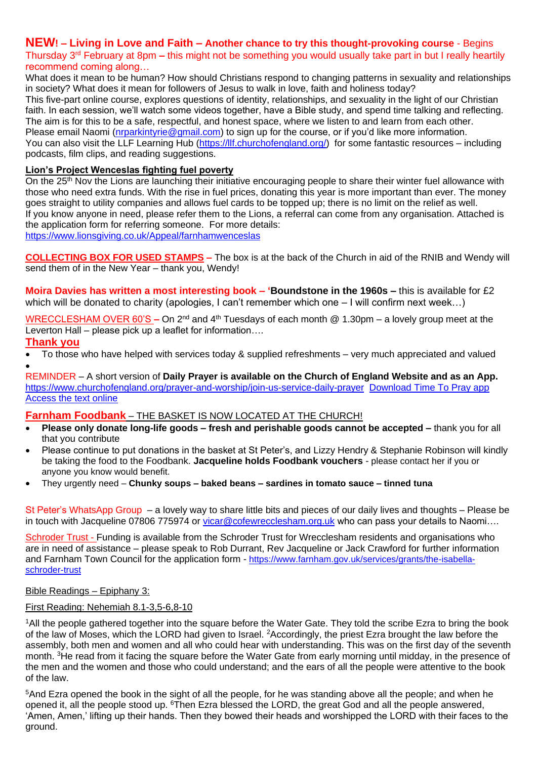# **NEW! – Living in Love and Faith – Another chance to try this thought-provoking course** - Begins

Thursday 3rd February at 8pm **–** this might not be something you would usually take part in but I really heartily recommend coming along…

What does it mean to be human? How should Christians respond to changing patterns in sexuality and relationships in society? What does it mean for followers of Jesus to walk in love, faith and holiness today?

This five-part online course, explores questions of identity, relationships, and sexuality in the light of our Christian faith. In each session, we'll watch some videos together, have a Bible study, and spend time talking and reflecting. The aim is for this to be a safe, respectful, and honest space, where we listen to and learn from each other. Please email Naomi [\(nrparkintyrie@gmail.com\)](mailto:nrparkintyrie@gmail.com) to sign up for the course, or if you'd like more information. You can also visit the LLF Learning Hub [\(https://llf.churchofengland.org/\)](https://llf.churchofengland.org/) for some fantastic resources – including podcasts, film clips, and reading suggestions.

## **Lion's Project Wenceslas fighting fuel poverty**

On the 25<sup>th</sup> Nov the Lions are launching their initiative encouraging people to share their winter fuel allowance with those who need extra funds. With the rise in fuel prices, donating this year is more important than ever. The money goes straight to utility companies and allows fuel cards to be topped up; there is no limit on the relief as well. If you know anyone in need, please refer them to the Lions, a referral can come from any organisation. Attached is the application form for referring someone. For more details: [https://www.lionsgiving.co.uk/Appeal/farnhamwenceslas](https://emea01.safelinks.protection.outlook.com/?url=https%3A%2F%2Fwww.lionsgiving.co.uk%2FAppeal%2Ffarnhamwenceslas&data=04%7C01%7C%7C670ac8773ce941dc31c808d9ae5c7915%7C84df9e7fe9f640afb435aaaaaaaaaaaa%7C1%7C0%7C637732534462155920%7CUnknown%7CTWFpbGZsb3d8eyJWIjoiMC4wLjAwMDAiLCJQIjoiV2luMzIiLCJBTiI6Ik1haWwiLCJXVCI6Mn0%3D%7C3000&sdata=jYT55VrvJZ%2FRUdhMQwgg2DCNmThy7EdE8MyPg1JZd9o%3D&reserved=0)

**COLLECTING BOX FOR USED STAMPS –** The box is at the back of the Church in aid of the RNIB and Wendy will send them of in the New Year – thank you, Wendy!

**Moira Davies has written a most interesting book – 'Boundstone in the 1960s –** this is available for £2 which will be donated to charity (apologies, I can't remember which one – I will confirm next week…)

WRECCLESHAM OVER 60'S **–** On 2nd and 4th Tuesdays of each month @ 1.30pm – a lovely group meet at the Leverton Hall – please pick up a leaflet for information....

## **Thank you**

• To those who have helped with services today & supplied refreshments – very much appreciated and valued •

REMINDER – A short version of **Daily Prayer is available on the Church of England Website and as an App.** <https://www.churchofengland.org/prayer-and-worship/join-us-service-daily-prayer> [Download Time To Pray app](https://www.chpublishing.co.uk/apps/time-to-pray)  [Access the text online](https://www.churchofengland.org/prayer-and-worship/join-us-in-daily-prayer/prayer-during-day-contemporary-Saturday-30-January-2021)

#### **Farnham Foodbank** – THE BASKET IS NOW LOCATED AT THE CHURCH!

- **Please only donate long-life goods – fresh and perishable goods cannot be accepted –** thank you for all that you contribute
- Please continue to put donations in the basket at St Peter's, and Lizzy Hendry & Stephanie Robinson will kindly be taking the food to the Foodbank. **Jacqueline holds Foodbank vouchers** - please contact her if you or anyone you know would benefit.
- They urgently need **Chunky soups – baked beans – sardines in tomato sauce – tinned tuna**

St Peter's WhatsApp Group – a lovely way to share little bits and pieces of our daily lives and thoughts – Please be in touch with Jacqueline 07806 775974 or [vicar@cofewrecclesham.org.uk](mailto:vicar@cofewrecclesham.org.uk) who can pass your details to Naomi....

Schroder Trust - Funding is available from the Schroder Trust for Wrecclesham residents and organisations who are in need of assistance – please speak to Rob Durrant, Rev Jacqueline or Jack Crawford for further information and Farnham Town Council for the application form - [https://www.farnham.gov.uk/services/grants/the-isabella](https://www.farnham.gov.uk/services/grants/the-isabella-schroder-trust)[schroder-trust](https://www.farnham.gov.uk/services/grants/the-isabella-schroder-trust)

### Bible Readings – Epiphany 3:

## First Reading: Nehemiah 8.1-3,5-6,8-10

<sup>1</sup>All the people gathered together into the square before the Water Gate. They told the scribe Ezra to bring the book of the law of Moses, which the LORD had given to Israel. <sup>2</sup>Accordingly, the priest Ezra brought the law before the assembly, both men and women and all who could hear with understanding. This was on the first day of the seventh month. <sup>3</sup>He read from it facing the square before the Water Gate from early morning until midday, in the presence of the men and the women and those who could understand; and the ears of all the people were attentive to the book of the law.

<sup>5</sup>And Ezra opened the book in the sight of all the people, for he was standing above all the people; and when he opened it, all the people stood up. <sup>6</sup>Then Ezra blessed the LORD, the great God and all the people answered, 'Amen, Amen,' lifting up their hands. Then they bowed their heads and worshipped the LORD with their faces to the ground.